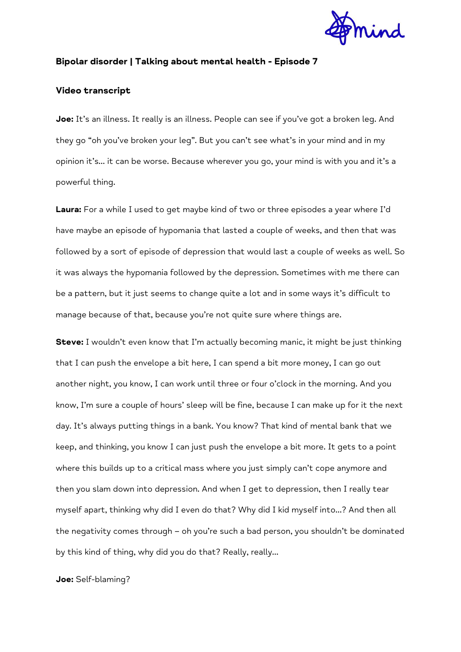

# **Bipolar disorder | Talking about mental health - Episode 7**

## **Video transcript**

**Joe:** It's an illness. It really is an illness. People can see if you've got a broken leg. And they go "oh you've broken your leg". But you can't see what's in your mind and in my opinion it's… it can be worse. Because wherever you go, your mind is with you and it's a powerful thing.

**Laura:** For a while I used to get maybe kind of two or three episodes a year where I'd have maybe an episode of hypomania that lasted a couple of weeks, and then that was followed by a sort of episode of depression that would last a couple of weeks as well. So it was always the hypomania followed by the depression. Sometimes with me there can be a pattern, but it just seems to change quite a lot and in some ways it's difficult to manage because of that, because you're not quite sure where things are.

**Steve:** I wouldn't even know that I'm actually becoming manic, it might be just thinking that I can push the envelope a bit here, I can spend a bit more money, I can go out another night, you know, I can work until three or four o'clock in the morning. And you know, I'm sure a couple of hours' sleep will be fine, because I can make up for it the next day. It's always putting things in a bank. You know? That kind of mental bank that we keep, and thinking, you know I can just push the envelope a bit more. It gets to a point where this builds up to a critical mass where you just simply can't cope anymore and then you slam down into depression. And when I get to depression, then I really tear myself apart, thinking why did I even do that? Why did I kid myself into…? And then all the negativity comes through – oh you're such a bad person, you shouldn't be dominated by this kind of thing, why did you do that? Really, really…

## **Joe:** Self-blaming?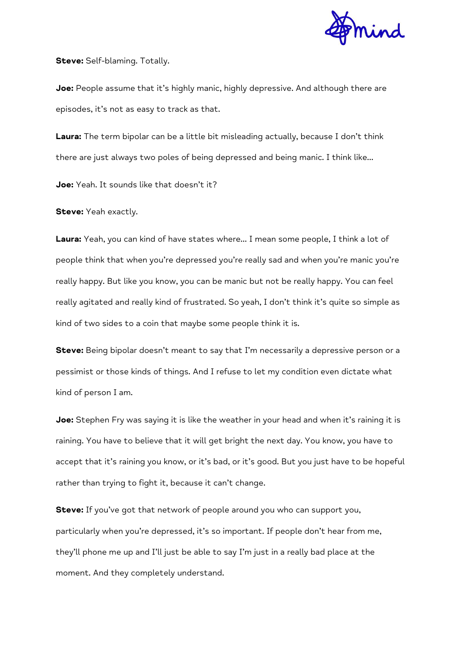

**Steve:** Self-blaming. Totally.

**Joe:** People assume that it's highly manic, highly depressive. And although there are episodes, it's not as easy to track as that.

**Laura:** The term bipolar can be a little bit misleading actually, because I don't think there are just always two poles of being depressed and being manic. I think like…

**Joe:** Yeah. It sounds like that doesn't it?

**Steve:** Yeah exactly.

**Laura:** Yeah, you can kind of have states where… I mean some people, I think a lot of people think that when you're depressed you're really sad and when you're manic you're really happy. But like you know, you can be manic but not be really happy. You can feel really agitated and really kind of frustrated. So yeah, I don't think it's quite so simple as kind of two sides to a coin that maybe some people think it is.

**Steve:** Being bipolar doesn't meant to say that I'm necessarily a depressive person or a pessimist or those kinds of things. And I refuse to let my condition even dictate what kind of person I am.

**Joe:** Stephen Fry was saying it is like the weather in your head and when it's raining it is raining. You have to believe that it will get bright the next day. You know, you have to accept that it's raining you know, or it's bad, or it's good. But you just have to be hopeful rather than trying to fight it, because it can't change.

**Steve:** If you've got that network of people around you who can support you, particularly when you're depressed, it's so important. If people don't hear from me, they'll phone me up and I'll just be able to say I'm just in a really bad place at the moment. And they completely understand.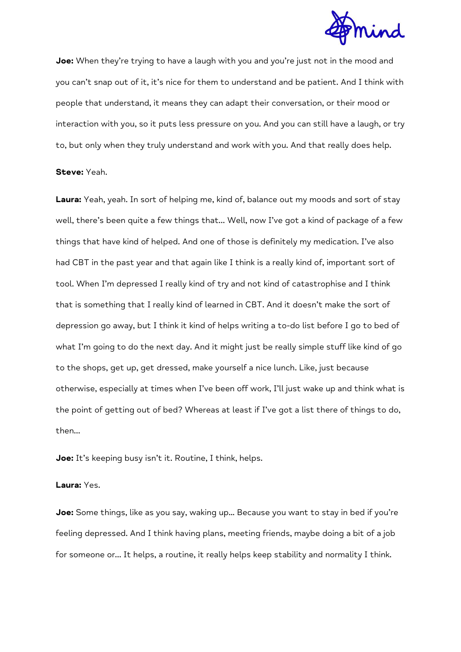

**Joe:** When they're trying to have a laugh with you and you're just not in the mood and you can't snap out of it, it's nice for them to understand and be patient. And I think with people that understand, it means they can adapt their conversation, or their mood or interaction with you, so it puts less pressure on you. And you can still have a laugh, or try to, but only when they truly understand and work with you. And that really does help.

#### **Steve:** Yeah.

**Laura:** Yeah, yeah. In sort of helping me, kind of, balance out my moods and sort of stay well, there's been quite a few things that… Well, now I've got a kind of package of a few things that have kind of helped. And one of those is definitely my medication. I've also had CBT in the past year and that again like I think is a really kind of, important sort of tool. When I'm depressed I really kind of try and not kind of catastrophise and I think that is something that I really kind of learned in CBT. And it doesn't make the sort of depression go away, but I think it kind of helps writing a to-do list before I go to bed of what I'm going to do the next day. And it might just be really simple stuff like kind of go to the shops, get up, get dressed, make yourself a nice lunch. Like, just because otherwise, especially at times when I've been off work, I'll just wake up and think what is the point of getting out of bed? Whereas at least if I've got a list there of things to do, then…

**Joe:** It's keeping busy isn't it. Routine, I think, helps.

### **Laura:** Yes.

**Joe:** Some things, like as you say, waking up... Because you want to stay in bed if you're feeling depressed. And I think having plans, meeting friends, maybe doing a bit of a job for someone or… It helps, a routine, it really helps keep stability and normality I think.